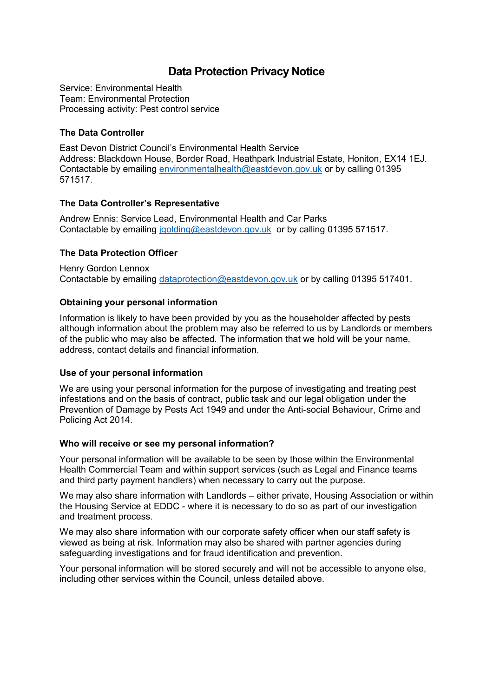# **Data Protection Privacy Notice**

Service: Environmental Health Team: Environmental Protection Processing activity: Pest control service

### **The Data Controller**

East Devon District Council's Environmental Health Service Address: Blackdown House, Border Road, Heathpark Industrial Estate, Honiton, EX14 1EJ. Contactable by emailing [environmentalhealth@eastdevon.gov.uk](mailto:environmentalhealth@eastdevon.gov.uk) or by calling 01395 571517.

#### **The Data Controller's Representative**

Andrew Ennis: Service Lead, Environmental Health and Car Parks Contactable by emailing [jgolding@eastdevon.gov.uk](mailto:jgolding@eastdevon.gov.uk) or by calling 01395 571517.

## **The Data Protection Officer**

Henry Gordon Lennox Contactable by emailing [dataprotection@eastdevon.gov.uk](mailto:dataprotection@eastdevon.gov.uk) or by calling 01395 517401.

#### **Obtaining your personal information**

Information is likely to have been provided by you as the householder affected by pests although information about the problem may also be referred to us by Landlords or members of the public who may also be affected. The information that we hold will be your name, address, contact details and financial information.

#### **Use of your personal information**

We are using your personal information for the purpose of investigating and treating pest infestations and on the basis of contract, public task and our legal obligation under the Prevention of Damage by Pests Act 1949 and under the Anti-social Behaviour, Crime and Policing Act 2014.

#### **Who will receive or see my personal information?**

Your personal information will be available to be seen by those within the Environmental Health Commercial Team and within support services (such as Legal and Finance teams and third party payment handlers) when necessary to carry out the purpose.

We may also share information with Landlords – either private, Housing Association or within the Housing Service at EDDC - where it is necessary to do so as part of our investigation and treatment process.

We may also share information with our corporate safety officer when our staff safety is viewed as being at risk. Information may also be shared with partner agencies during safeguarding investigations and for fraud identification and prevention.

Your personal information will be stored securely and will not be accessible to anyone else, including other services within the Council, unless detailed above.